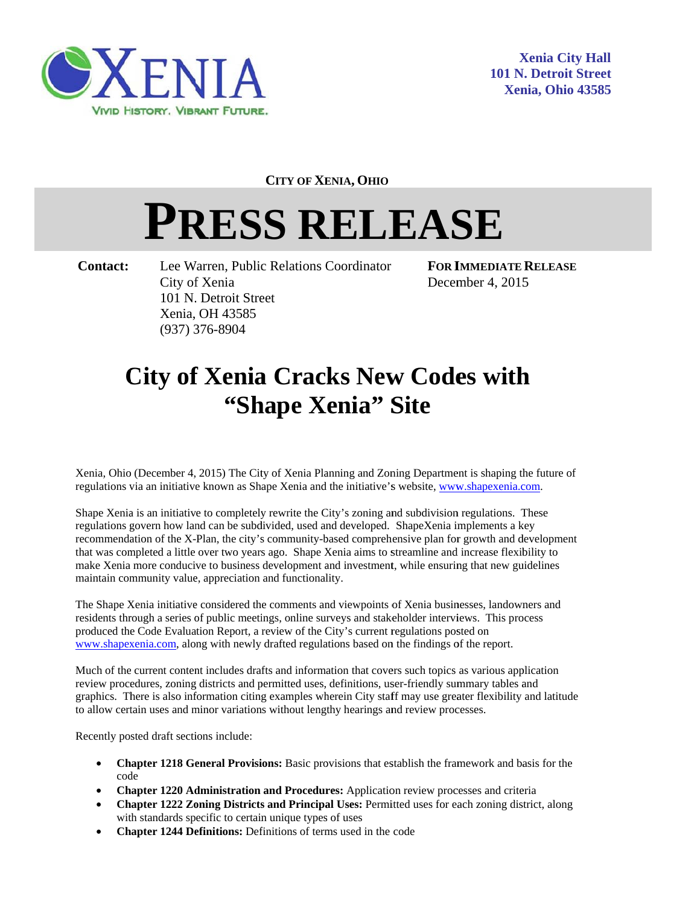

**CITY OF XENIA, OHIO** 

## **PRESS RELEASE**

Contact:

Lee Warren, Public Relations Coordinator City of Xenia 101 N. Detroit Street Xenia. OH 43585  $(937)$  376-8904

**FOR IMMEDIATE RELEASE** December 4, 2015

## **City of Xenia Cracks New Codes with** "Shape Xenia" Site

Xenia, Ohio (December 4, 2015) The City of Xenia Planning and Zoning Department is shaping the future of regulations via an initiative known as Shape Xenia and the initiative's website, www.shapexenia.com.

Shape Xenia is an initiative to completely rewrite the City's zoning and subdivision regulations. These regulations govern how land can be subdivided, used and developed. ShapeXenia implements a key recommendation of the X-Plan, the city's community-based comprehensive plan for growth and development that was completed a little over two years ago. Shape Xenia aims to streamline and increase flexibility to make Xenia more conducive to business development and investment, while ensuring that new guidelines maintain community value, appreciation and functionality.

The Shape Xenia initiative considered the comments and viewpoints of Xenia businesses, landowners and residents through a series of public meetings, online surveys and stakeholder interviews. This process produced the Code Evaluation Report, a review of the City's current regulations posted on www.shapexenia.com, along with newly drafted regulations based on the findings of the report.

Much of the current content includes drafts and information that covers such topics as various application review procedures, zoning districts and permitted uses, definitions, user-friendly summary tables and graphics. There is also information citing examples wherein City staff may use greater flexibility and latitude to allow certain uses and minor variations without lengthy hearings and review processes.

Recently posted draft sections include:

- **Chapter 1218 General Provisions:** Basic provisions that establish the framework and basis for the code
- Chapter 1220 Administration and Procedures: Application review processes and criteria
- Chapter 1222 Zoning Districts and Principal Uses: Permitted uses for each zoning district, along with standards specific to certain unique types of uses
- **Chapter 1244 Definitions:** Definitions of terms used in the code